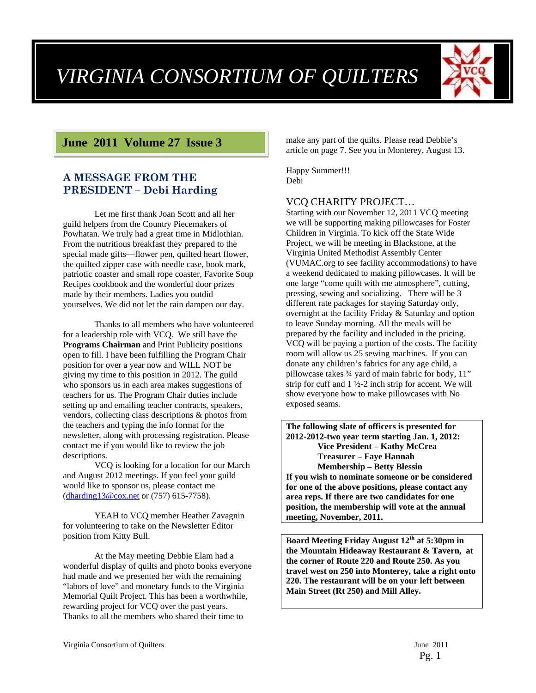# *VIRGINIA CONSORTIUM OF QUILTERS*



# **June 2011 Volume 27 Issue 3**

## **A MESSAGE FROM THE PRESIDENT – Debi Harding**

Let me first thank Joan Scott and all her guild helpers from the Country Piecemakers of Powhatan. We truly had a great time in Midlothian. From the nutritious breakfast they prepared to the special made gifts—flower pen, quilted heart flower, the quilted zipper case with needle case, book mark, patriotic coaster and small rope coaster, Favorite Soup Recipes cookbook and the wonderful door prizes made by their members. Ladies you outdid yourselves. We did not let the rain dampen our day.

Thanks to all members who have volunteered for a leadership role with VCQ. We still have the **Programs Chairman** and Print Publicity positions open to fill. I have been fulfilling the Program Chair position for over a year now and WILL NOT be giving my time to this position in 2012. The guild who sponsors us in each area makes suggestions of teachers for us. The Program Chair duties include setting up and emailing teacher contracts, speakers, vendors, collecting class descriptions & photos from the teachers and typing the info format for the newsletter, along with processing registration. Please contact me if you would like to review the job descriptions.

VCQ is looking for a location for our March and August 2012 meetings. If you feel your guild would like to sponsor us, please contact me (dharding13@cox.net or (757) 615-7758).

YEAH to VCQ member Heather Zavagnin for volunteering to take on the Newsletter Editor position from Kitty Bull.

At the May meeting Debbie Elam had a wonderful display of quilts and photo books everyone had made and we presented her with the remaining "labors of love" and monetary funds to the Virginia Memorial Quilt Project. This has been a worthwhile, rewarding project for VCQ over the past years. Thanks to all the members who shared their time to

make any part of the quilts. Please read Debbie's article on page 7. See you in Monterey, August 13.

Happy Summer!!! Debi

## VCQ CHARITY PROJECT…

Starting with our November 12, 2011 VCQ meeting we will be supporting making pillowcases for Foster Children in Virginia. To kick off the State Wide Project, we will be meeting in Blackstone, at the Virginia United Methodist Assembly Center (VUMAC.org to see facility accommodations) to have a weekend dedicated to making pillowcases. It will be one large "come quilt with me atmosphere", cutting, pressing, sewing and socializing. There will be 3 different rate packages for staying Saturday only, overnight at the facility Friday & Saturday and option to leave Sunday morning. All the meals will be prepared by the facility and included in the pricing. VCQ will be paying a portion of the costs. The facility room will allow us 25 sewing machines. If you can donate any children's fabrics for any age child, a pillowcase takes ¾ yard of main fabric for body, 11" strip for cuff and  $1\frac{1}{2}$ -2 inch strip for accent. We will show everyone how to make pillowcases with No exposed seams.

**The following slate of officers is presented for 2012-2012-two year term starting Jan. 1, 2012: Vice President – Kathy McCrea Treasurer – Faye Hannah Membership – Betty Blessin If you wish to nominate someone or be considered for one of the above positions, please contact any area reps. If there are two candidates for one position, the membership will vote at the annual meeting, November, 2011.** 

**Board Meeting Friday August 12th at 5:30pm in the Mountain Hideaway Restaurant & Tavern, at the corner of Route 220 and Route 250. As you travel west on 250 into Monterey, take a right onto 220. The restaurant will be on your left between Main Street (Rt 250) and Mill Alley.**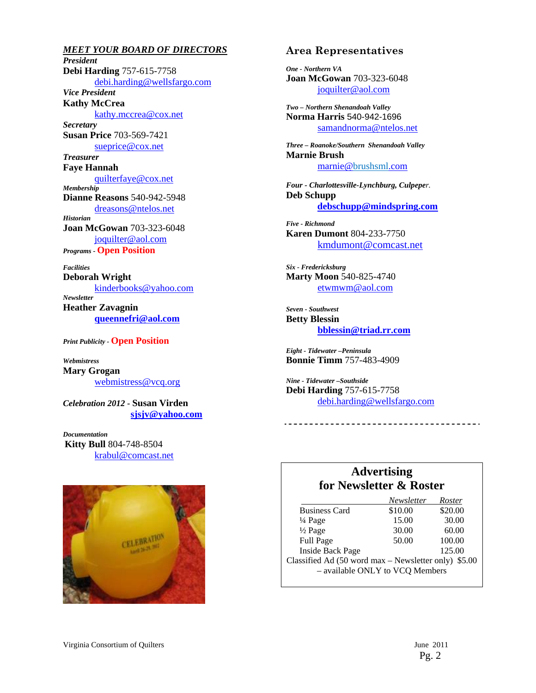*MEET YOUR BOARD OF DIRECTORS President*  **Debi Harding** 757-615-7758 debi.harding@wellsfargo.com *Vice President*  **Kathy McCrea**  kathy.mccrea@cox.net *Secretary*  **Susan Price** 703-569-7421 sueprice@cox.net *Treasurer*  **Faye Hannah**  quilterfaye@cox.net *Membership*  **Dianne Reasons** 540-942-5948 dreasons@ntelos.net *Historian*  **Joan McGowan** 703-323-6048 joquilter@aol.com *Programs -* **Open Position**  *Facilities* 

**Deborah Wright**  kinderbooks@yahoo.com *Newsletter* 

**Heather Zavagnin queennefri@aol.com**

*Print Publicity -* **Open Position** 

*Webmistress*  **Mary Grogan**  webmistress@vcq.org

*Celebration 2012 -* **Susan Virden sjsjv@yahoo.com**

*Documentation*  **Kitty Bull** 804-748-8504 krabul@comcast.net



#### **Area Representatives**

*One - Northern VA*  **Joan McGowan** 703-323-6048 joquilter@aol.com

*Two – Northern Shenandoah Valley* **Norma Harris** 540-942-1696 samandnorma@ntelos.net

*Three – Roanoke/Southern Shenandoah Valley*  **Marnie Brush** marnie@brushsml.com

*Four - Charlottesville-Lynchburg, Culpeper.*  **Deb Schupp debschupp@mindspring.com**

*Five - Richmond*  **Karen Dumont** 804-233-7750 kmdumont@comcast.net

*Six - Fredericksburg*  **Marty Moon** 540-825-4740 etwmwm@aol.com

*Seven - Southwest*  **Betty Blessin bblessin@triad.rr.com**

*Eight - Tidewater –Peninsula*  **Bonnie Timm** 757-483-4909

*Nine - Tidewater –Southside*  **Debi Harding** 757-615-7758 debi.harding@wellsfargo.com

# **Advertising for Newsletter & Roster**

-------------------------------

|                                                      | Newsletter | Roster  |  |
|------------------------------------------------------|------------|---------|--|
| <b>Business Card</b>                                 | \$10.00    | \$20.00 |  |
| $\frac{1}{4}$ Page                                   | 15.00      | 30.00   |  |
| $\frac{1}{2}$ Page                                   | 30.00      | 60.00   |  |
| <b>Full Page</b>                                     | 50.00      | 100.00  |  |
| <b>Inside Back Page</b>                              |            | 125.00  |  |
| Classified Ad (50 word max – Newsletter only) \$5.00 |            |         |  |
| - available ONLY to VCQ Members                      |            |         |  |
|                                                      |            |         |  |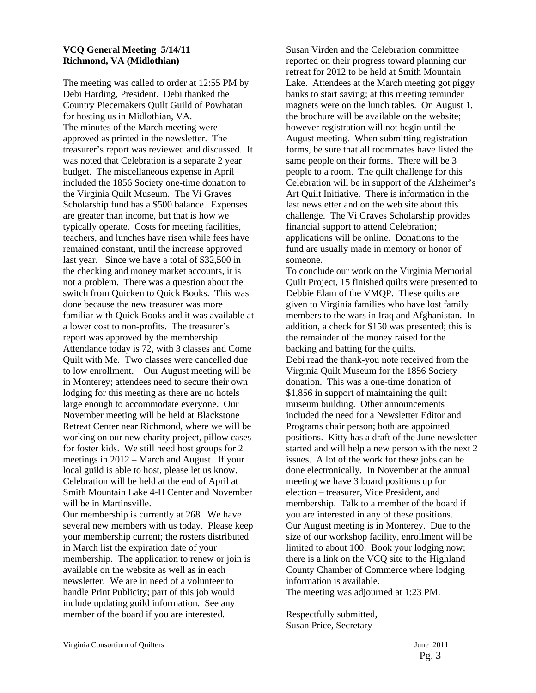#### **VCQ General Meeting 5/14/11 Richmond, VA (Midlothian)**

The meeting was called to order at 12:55 PM by Debi Harding, President. Debi thanked the Country Piecemakers Quilt Guild of Powhatan for hosting us in Midlothian, VA. The minutes of the March meeting were approved as printed in the newsletter. The treasurer's report was reviewed and discussed. It was noted that Celebration is a separate 2 year budget. The miscellaneous expense in April included the 1856 Society one-time donation to the Virginia Quilt Museum. The Vi Graves Scholarship fund has a \$500 balance. Expenses are greater than income, but that is how we typically operate. Costs for meeting facilities, teachers, and lunches have risen while fees have remained constant, until the increase approved last year. Since we have a total of \$32,500 in the checking and money market accounts, it is not a problem. There was a question about the switch from Quicken to Quick Books. This was done because the new treasurer was more familiar with Quick Books and it was available at a lower cost to non-profits. The treasurer's report was approved by the membership. Attendance today is 72, with 3 classes and Come Quilt with Me. Two classes were cancelled due to low enrollment. Our August meeting will be in Monterey; attendees need to secure their own lodging for this meeting as there are no hotels large enough to accommodate everyone. Our November meeting will be held at Blackstone Retreat Center near Richmond, where we will be working on our new charity project, pillow cases for foster kids. We still need host groups for 2 meetings in 2012 – March and August. If your local guild is able to host, please let us know. Celebration will be held at the end of April at Smith Mountain Lake 4-H Center and November will be in Martinsville. Our membership is currently at 268. We have several new members with us today. Please keep

your membership current; the rosters distributed in March list the expiration date of your membership. The application to renew or join is available on the website as well as in each newsletter. We are in need of a volunteer to handle Print Publicity; part of this job would include updating guild information. See any member of the board if you are interested.

Susan Virden and the Celebration committee reported on their progress toward planning our retreat for 2012 to be held at Smith Mountain Lake. Attendees at the March meeting got piggy banks to start saving; at this meeting reminder magnets were on the lunch tables. On August 1, the brochure will be available on the website; however registration will not begin until the August meeting. When submitting registration forms, be sure that all roommates have listed the same people on their forms. There will be 3 people to a room. The quilt challenge for this Celebration will be in support of the Alzheimer's Art Quilt Initiative. There is information in the last newsletter and on the web site about this challenge. The Vi Graves Scholarship provides financial support to attend Celebration; applications will be online. Donations to the fund are usually made in memory or honor of someone.

To conclude our work on the Virginia Memorial Quilt Project, 15 finished quilts were presented to Debbie Elam of the VMQP. These quilts are given to Virginia families who have lost family members to the wars in Iraq and Afghanistan. In addition, a check for \$150 was presented; this is the remainder of the money raised for the backing and batting for the quilts. Debi read the thank-you note received from the Virginia Quilt Museum for the 1856 Society donation. This was a one-time donation of \$1,856 in support of maintaining the quilt museum building. Other announcements included the need for a Newsletter Editor and Programs chair person; both are appointed positions. Kitty has a draft of the June newsletter started and will help a new person with the next 2 issues. A lot of the work for these jobs can be done electronically. In November at the annual meeting we have 3 board positions up for election – treasurer, Vice President, and membership. Talk to a member of the board if you are interested in any of these positions. Our August meeting is in Monterey. Due to the size of our workshop facility, enrollment will be limited to about 100. Book your lodging now; there is a link on the VCQ site to the Highland County Chamber of Commerce where lodging information is available. The meeting was adjourned at 1:23 PM.

Respectfully submitted, Susan Price, Secretary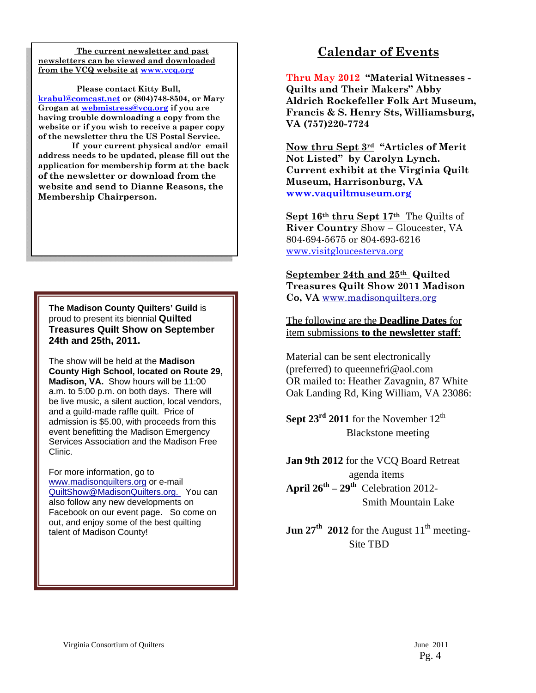**The current newsletter and past newsletters can be viewed and downloaded from the VCQ website at www.vcq.org**

 **Please contact Kitty Bull, krabul@comcast.net or (804)748-8504, or Mary Grogan at webmistress@vcq.org if you are having trouble downloading a copy from the website or if you wish to receive a paper copy of the newsletter thru the US Postal Service.** 

 **If your current physical and/or email address needs to be updated, please fill out the application for membership form at the back of the newsletter or download from the website and send to Dianne Reasons, the Membership Chairperson.** 

**The Madison County Quilters' Guild** is proud to present its biennial **Quilted Treasures Quilt Show on September 24th and 25th, 2011.** 

The show will be held at the **Madison County High School, located on Route 29, Madison, VA.** Show hours will be 11:00 a.m. to 5:00 p.m. on both days. There will be live music, a silent auction, local vendors, and a guild-made raffle quilt. Price of admission is \$5.00, with proceeds from this event benefitting the Madison Emergency Services Association and the Madison Free Clinic.

For more information, go to www.madisonquilters.org or e-mail QuiltShow@MadisonQuilters.org. You can also follow any new developments on Facebook on our event page. So come on out, and enjoy some of the best quilting talent of Madison County!

# **Calendar of Events**

**Thru May 2012 "Material Witnesses - Quilts and Their Makers" Abby Aldrich Rockefeller Folk Art Museum, Francis & S. Henry Sts, Williamsburg, VA (757)220-7724** 

**Now thru Sept 3rd "Articles of Merit Not Listed" by Carolyn Lynch. Current exhibit at the Virginia Quilt Museum, Harrisonburg, VA www.vaquiltmuseum.org**

**Sept 16th thru Sept 17th** The Quilts of **River Country** Show – Gloucester, VA 804-694-5675 or 804-693-6216 www.visitgloucesterva.org

**September 24th and 25th Quilted Treasures Quilt Show 2011 Madison Co, VA** www.madisonquilters.org

The following are the **Deadline Dates** for item submissions **to the newsletter staff**:

Material can be sent electronically (preferred) to queennefri@aol.com OR mailed to: Heather Zavagnin, 87 White Oak Landing Rd, King William, VA 23086:

**Sept 23<sup>rd</sup> 2011** for the November  $12<sup>th</sup>$ Blackstone meeting

**Jan 9th 2012** for the VCQ Board Retreat agenda items **April**  $26^{th} - 29^{th}$  Celebration 2012-Smith Mountain Lake

**Jun 27<sup>th</sup> 2012** for the August  $11<sup>th</sup>$  meeting-Site TBD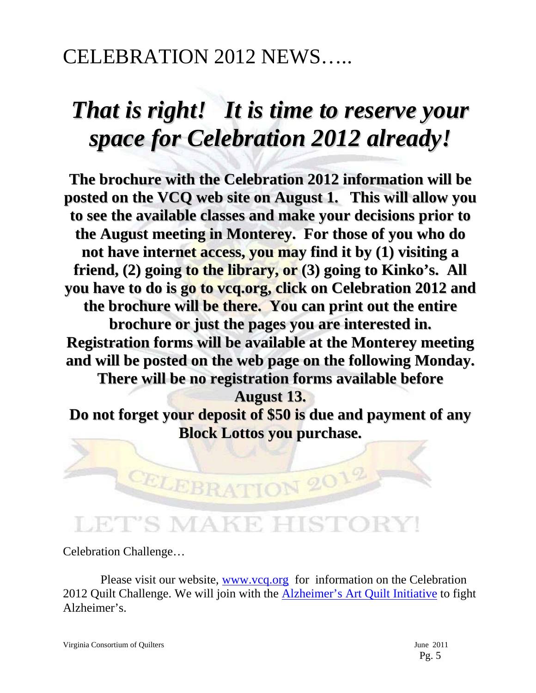# CELEBRATION 2012 NEWS…..

# *That is right! It is time to reserve your space for Celebration 2012 already!*

**The brochure with the Celebration 2012 information will be posted on the VCQ web site on August 1. This will allow you to see the available classes and make your decisions prior to the August meeting in Monterey. For those of you who do not have internet access, you may find it by (1) visiting a friend, (2) going to the library, or (3) going to Kinko's. All you have to do is go to vcq.org, click on Celebration 2012 and the brochure will be there. You can print out the entire brochure or just the pages you are interested in. Registration forms will be available at the Monterey meeting and will be posted on the web page on the following Monday. There will be no registration forms available before August 13. Do not forget your deposit of \$50 is due and payment of any Block Lottos you purchase.**

# **ET'S MAKE HISTO**

CELEBRATION 2012

Celebration Challenge…

Please visit our website, www.vcq.org for information on the Celebration 2012 Quilt Challenge. We will join with the **Alzheimer's Art Quilt Initiative** to fight Alzheimer's.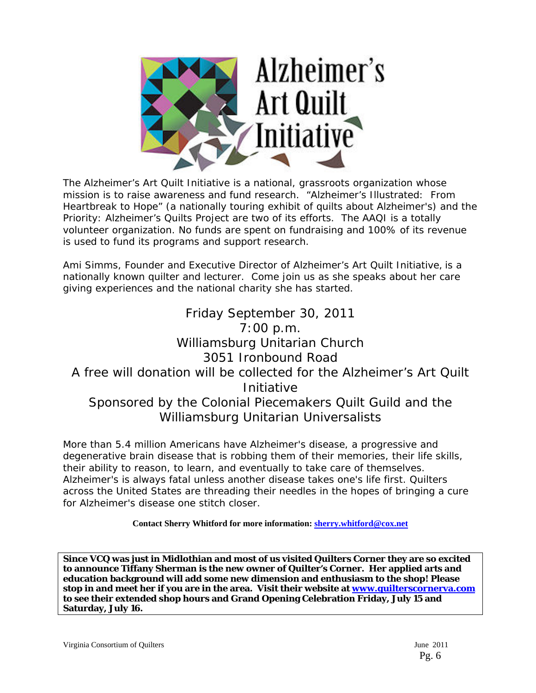

The Alzheimer's Art Quilt Initiative is a national, grassroots organization whose mission is to raise awareness and fund research. "Alzheimer's Illustrated: From Heartbreak to Hope" (a nationally touring exhibit of quilts about Alzheimer's) and the Priority: Alzheimer's Quilts Project are two of its efforts. The AAQI is a totally volunteer organization. No funds are spent on fundraising and 100% of its revenue is used to fund its programs and support research.

Ami Simms, Founder and Executive Director of Alzheimer's Art Quilt Initiative, is a nationally known quilter and lecturer. Come join us as she speaks about her care giving experiences and the national charity she has started.

# Friday September 30, 2011 7:00 p.m. Williamsburg Unitarian Church 3051 Ironbound Road A free will donation will be collected for the Alzheimer's Art Quilt Initiative Sponsored by the Colonial Piecemakers Quilt Guild and the Williamsburg Unitarian Universalists

More than 5.4 million Americans have Alzheimer's disease, a progressive and degenerative brain disease that is robbing them of their memories, their life skills, their ability to reason, to learn, and eventually to take care of themselves. Alzheimer's is always fatal unless another disease takes one's life first. Quilters across the United States are threading their needles in the hopes of bringing a cure for Alzheimer's disease one stitch closer.

**Contact Sherry Whitford for more information: sherry.whitford@cox.net**

**Since VCQ was just in Midlothian and most of us visited Quilters Corner they are so excited to announce Tiffany Sherman is the new owner of Quilter's Corner. Her applied arts and education background will add some new dimension and enthusiasm to the shop! Please stop in and meet her if you are in the area. Visit their website at www.quilterscornerva.com to see their extended shop hours and Grand Opening Celebration Friday, July 15 and Saturday, July 16.**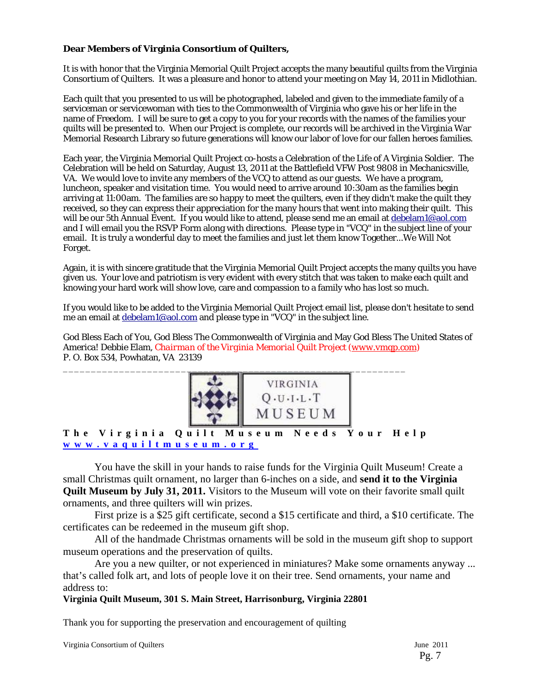#### **Dear Members of Virginia Consortium of Quilters,**

It is with honor that the Virginia Memorial Quilt Project accepts the many beautiful quilts from the Virginia Consortium of Quilters. It was a pleasure and honor to attend your meeting on May 14, 2011 in Midlothian.

Each quilt that you presented to us will be photographed, labeled and given to the immediate family of a serviceman or servicewoman with ties to the Commonwealth of Virginia who gave his or her life in the name of Freedom. I will be sure to get a copy to you for your records with the names of the families your quilts will be presented to. When our Project is complete, our records will be archived in the Virginia War Memorial Research Library so future generations will know our labor of love for our fallen heroes families.

Each year, the Virginia Memorial Quilt Project co-hosts a Celebration of the Life of A Virginia Soldier. The Celebration will be held on Saturday, August 13, 2011 at the Battlefield VFW Post 9808 in Mechanicsville, VA. We would love to invite any members of the VCQ to attend as our guests. We have a program, luncheon, speaker and visitation time. You would need to arrive around 10:30am as the families begin arriving at 11:00am. The families are so happy to meet the quilters, even if they didn't make the quilt they received, so they can express their appreciation for the many hours that went into making their quilt. This will be our 5th Annual Event. If you would like to attend, please send me an email at debelam1@aol.com and I will email you the RSVP Form along with directions. Please type in "VCQ" in the subject line of your email. It is truly a wonderful day to meet the families and just let them know Together...We Will Not Forget.

Again, it is with sincere gratitude that the Virginia Memorial Quilt Project accepts the many quilts you have given us. Your love and patriotism is very evident with every stitch that was taken to make each quilt and knowing your hard work will show love, care and compassion to a family who has lost so much.

If you would like to be added to the Virginia Memorial Quilt Project email list, please don't hesitate to send me an email at debelam1@aol.com and please type in "VCQ" in the subject line.

God Bless Each of You, God Bless The Commonwealth of Virginia and May God Bless The United States of America! Debbie Elam, *Chairman of the Virginia Memorial Quilt Project (www.vmqp.com)* P. O. Box 534, Powhatan, VA 23139



#### **www.vaquiltmuseum.org**

You have the skill in your hands to raise funds for the Virginia Quilt Museum! Create a small Christmas quilt ornament, no larger than 6-inches on a side, and **send it to the Virginia Quilt Museum by July 31, 2011.** Visitors to the Museum will vote on their favorite small quilt ornaments, and three quilters will win prizes.

First prize is a \$25 gift certificate, second a \$15 certificate and third, a \$10 certificate. The certificates can be redeemed in the museum gift shop.

All of the handmade Christmas ornaments will be sold in the museum gift shop to support museum operations and the preservation of quilts.

Are you a new quilter, or not experienced in miniatures? Make some ornaments anyway ... that's called folk art, and lots of people love it on their tree. Send ornaments, your name and address to:

#### **Virginia Quilt Museum, 301 S. Main Street, Harrisonburg, Virginia 22801**

Thank you for supporting the preservation and encouragement of quilting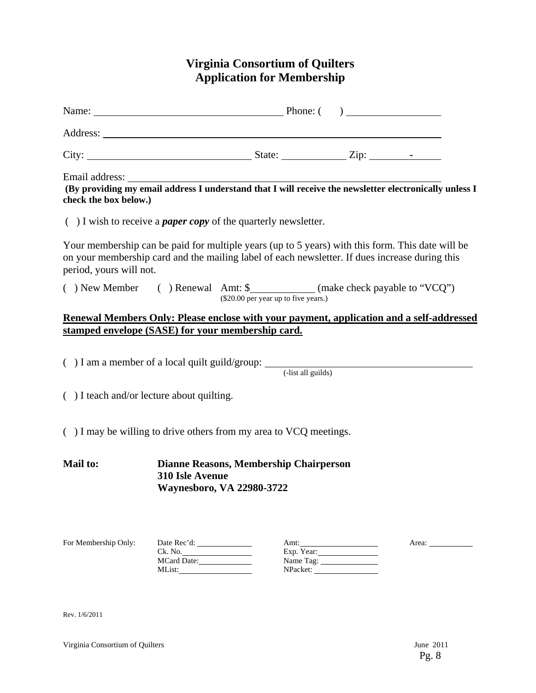# **Virginia Consortium of Quilters Application for Membership**

| Name: <u>Name:</u> Phone: ( )                                                                                                                                                                                                 |                                  |                                      |                                             |  |                                                          |
|-------------------------------------------------------------------------------------------------------------------------------------------------------------------------------------------------------------------------------|----------------------------------|--------------------------------------|---------------------------------------------|--|----------------------------------------------------------|
|                                                                                                                                                                                                                               |                                  |                                      |                                             |  |                                                          |
|                                                                                                                                                                                                                               |                                  |                                      |                                             |  |                                                          |
| Email address:<br>(By providing my email address I understand that I will receive the newsletter electronically unless I<br>check the box below.)                                                                             |                                  |                                      |                                             |  |                                                          |
| $( )$ I wish to receive a <i>paper copy</i> of the quarterly newsletter.                                                                                                                                                      |                                  |                                      |                                             |  |                                                          |
| Your membership can be paid for multiple years (up to 5 years) with this form. This date will be<br>on your membership card and the mailing label of each newsletter. If dues increase during this<br>period, yours will not. |                                  |                                      |                                             |  |                                                          |
| () New Member () Renewal Amt: \$ ____________ (make check payable to "VCQ")                                                                                                                                                   |                                  | (\$20.00 per year up to five years.) |                                             |  |                                                          |
| Renewal Members Only: Please enclose with your payment, application and a self-addressed<br>stamped envelope (SASE) for your membership card.                                                                                 |                                  |                                      |                                             |  |                                                          |
| $( ) I$ am a member of a local quilt guild/group: $($ -list all guilds)                                                                                                                                                       |                                  |                                      |                                             |  |                                                          |
| $( )$ I teach and/or lecture about quilting.                                                                                                                                                                                  |                                  |                                      |                                             |  |                                                          |
| $( )$ I may be willing to drive others from my area to VCQ meetings.                                                                                                                                                          |                                  |                                      |                                             |  |                                                          |
| <b>Mail to:</b><br><b>Dianne Reasons, Membership Chairperson</b><br>310 Isle Avenue<br><b>Waynesboro, VA 22980-3722</b>                                                                                                       |                                  |                                      |                                             |  |                                                          |
| For Membership Only:                                                                                                                                                                                                          | Ck. No.<br>MCard Date:<br>MList: |                                      | Amt:<br>Exp. Year:<br>Name Tag:<br>NPacket: |  | Area: $\frac{1}{\sqrt{1-\frac{1}{2}} \cdot \frac{1}{2}}$ |

Rev. 1/6/2011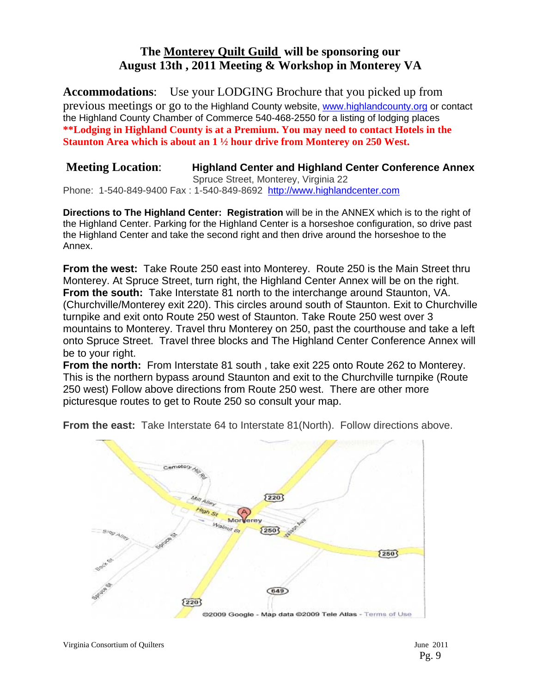# **The Monterey Quilt Guild will be sponsoring our August 13th , 2011 Meeting & Workshop in Monterey VA**

**Accommodations**: Use your LODGING Brochure that you picked up from previous meetings or go to the Highland County website, www.highlandcounty.org or contact the Highland County Chamber of Commerce 540-468-2550 for a listing of lodging places **\*\*Lodging in Highland County is at a Premium. You may need to contact Hotels in the Staunton Area which is about an 1 ½ hour drive from Monterey on 250 West.** 

#### **Meeting Location**: **Highland Center and Highland Center Conference Annex**  Spruce Street, Monterey, Virginia 22 Phone: 1-540-849-9400 Fax : 1-540-849-8692 http://www.highlandcenter.com

**Directions to The Highland Center: Registration** will be in the ANNEX which is to the right of the Highland Center. Parking for the Highland Center is a horseshoe configuration, so drive past the Highland Center and take the second right and then drive around the horseshoe to the Annex.

**From the west:** Take Route 250 east into Monterey. Route 250 is the Main Street thru Monterey. At Spruce Street, turn right, the Highland Center Annex will be on the right. **From the south:** Take Interstate 81 north to the interchange around Staunton, VA. (Churchville/Monterey exit 220). This circles around south of Staunton. Exit to Churchville turnpike and exit onto Route 250 west of Staunton. Take Route 250 west over 3 mountains to Monterey. Travel thru Monterey on 250, past the courthouse and take a left onto Spruce Street. Travel three blocks and The Highland Center Conference Annex will be to your right.

**From the north:** From Interstate 81 south , take exit 225 onto Route 262 to Monterey. This is the northern bypass around Staunton and exit to the Churchville turnpike (Route 250 west) Follow above directions from Route 250 west. There are other more picturesque routes to get to Route 250 so consult your map.



**From the east:** Take Interstate 64 to Interstate 81 (North). Follow directions above.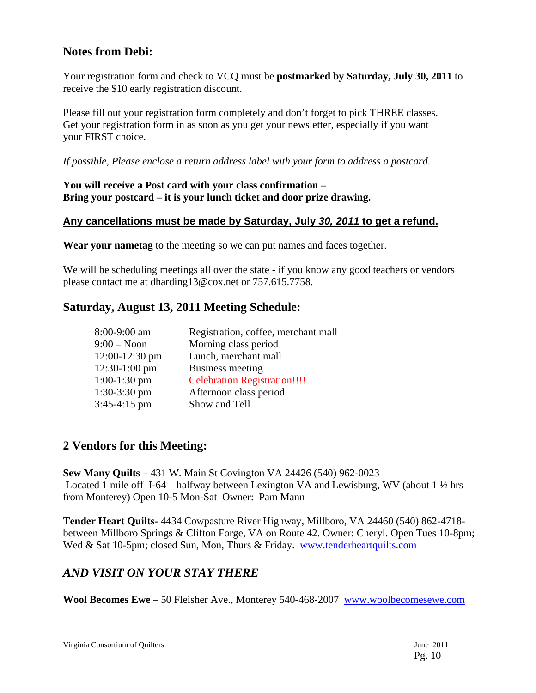# **Notes from Debi:**

Your registration form and check to VCQ must be **postmarked by Saturday, July 30, 2011** to receive the \$10 early registration discount.

Please fill out your registration form completely and don't forget to pick THREE classes. Get your registration form in as soon as you get your newsletter, especially if you want your FIRST choice.

### *If possible, Please enclose a return address label with your form to address a postcard.*

### **You will receive a Post card with your class confirmation – Bring your postcard – it is your lunch ticket and door prize drawing.**

## **Any cancellations must be made by Saturday, July** *30, 2011* **to get a refund.**

**Wear your nametag** to the meeting so we can put names and faces together.

We will be scheduling meetings all over the state - if you know any good teachers or vendors please contact me at dharding13@cox.net or 757.615.7758.

# **Saturday, August 13, 2011 Meeting Schedule:**

| Registration, coffee, merchant mall |
|-------------------------------------|
| Morning class period                |
| Lunch, merchant mall                |
| Business meeting                    |
| <b>Celebration Registration!!!!</b> |
| Afternoon class period              |
| Show and Tell                       |
|                                     |

# **2 Vendors for this Meeting:**

**Sew Many Quilts –** 431 W. Main St Covington VA 24426 (540) 962-0023 Located 1 mile off I-64 – halfway between Lexington VA and Lewisburg, WV (about  $1\frac{1}{2}$  hrs from Monterey) Open 10-5 Mon-Sat Owner: Pam Mann

**Tender Heart Quilts-** 4434 Cowpasture River Highway, Millboro, VA 24460 (540) 862-4718 between Millboro Springs & Clifton Forge, VA on Route 42. Owner: Cheryl. Open Tues 10-8pm; Wed & Sat 10-5pm; closed Sun, Mon, Thurs & Friday. www.tenderheartquilts.com

# *AND VISIT ON YOUR STAY THERE*

**Wool Becomes Ewe** – 50 Fleisher Ave., Monterey 540-468-2007 www.woolbecomesewe.com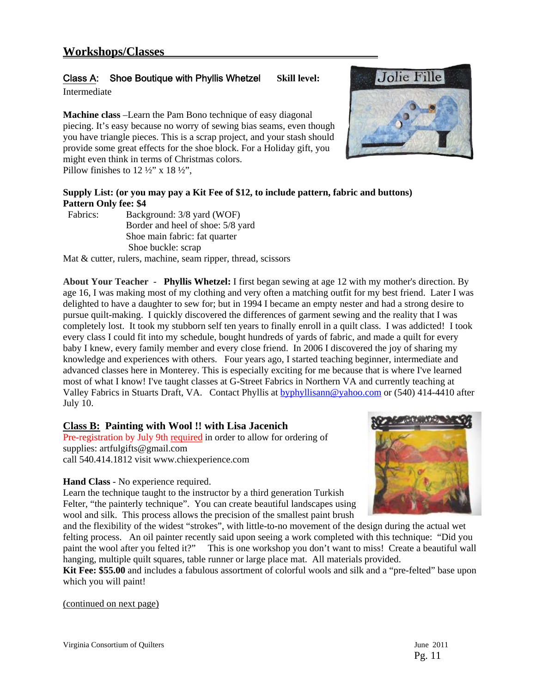## Class A: Shoe Boutique with Phyllis Whetzel **Skill level:**

Intermediate

**Machine class** –Learn the Pam Bono technique of easy diagonal piecing. It's easy because no worry of sewing bias seams, even though you have triangle pieces. This is a scrap project, and your stash should provide some great effects for the shoe block. For a Holiday gift, you might even think in terms of Christmas colors. Pillow finishes to  $12\frac{1}{2}$ " x  $18\frac{1}{2}$ ",

### **Supply List: (or you may pay a Kit Fee of \$12, to include pattern, fabric and buttons) Pattern Only fee: \$4**

| Fabrics: | Background: 3/8 yard (WOF)        |
|----------|-----------------------------------|
|          | Border and heel of shoe: 5/8 yard |
|          | Shoe main fabric: fat quarter     |
|          | Shoe buckle: scrap                |

Mat & cutter, rulers, machine, seam ripper, thread, scissors

**About Your Teacher - Phyllis Whetzel:** I first began sewing at age 12 with my mother's direction. By age 16, I was making most of my clothing and very often a matching outfit for my best friend. Later I was delighted to have a daughter to sew for; but in 1994 I became an empty nester and had a strong desire to pursue quilt-making. I quickly discovered the differences of garment sewing and the reality that I was completely lost. It took my stubborn self ten years to finally enroll in a quilt class. I was addicted! I took every class I could fit into my schedule, bought hundreds of yards of fabric, and made a quilt for every baby I knew, every family member and every close friend. In 2006 I discovered the joy of sharing my knowledge and experiences with others. Four years ago, I started teaching beginner, intermediate and advanced classes here in Monterey. This is especially exciting for me because that is where I've learned most of what I know! I've taught classes at G-Street Fabrics in Northern VA and currently teaching at Valley Fabrics in Stuarts Draft, VA. Contact Phyllis at byphyllisann@yahoo.com or (540) 414-4410 after July 10.

#### **Class B: Painting with Wool !! with Lisa Jacenich**

Pre-registration by July 9th required in order to allow for ordering of supplies: artfulgifts@gmail.com call 540.414.1812 visit www.chiexperience.com

**Hand Class** - No experience required.



Learn the technique taught to the instructor by a third generation Turkish Felter, "the painterly technique". You can create beautiful landscapes using wool and silk. This process allows the precision of the smallest paint brush

and the flexibility of the widest "strokes", with little-to-no movement of the design during the actual wet felting process. An oil painter recently said upon seeing a work completed with this technique: "Did you paint the wool after you felted it?" This is one workshop you don't want to miss! Create a beautiful wall hanging, multiple quilt squares, table runner or large place mat. All materials provided.

**Kit Fee: \$55.00** and includes a fabulous assortment of colorful wools and silk and a "pre-felted" base upon which you will paint!

(continued on next page)

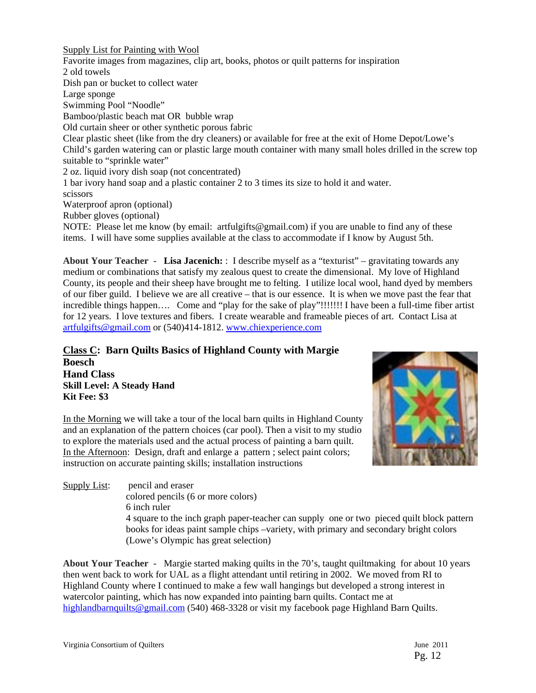Supply List for Painting with Wool Favorite images from magazines, clip art, books, photos or quilt patterns for inspiration 2 old towels Dish pan or bucket to collect water Large sponge Swimming Pool "Noodle" Bamboo/plastic beach mat OR bubble wrap Old curtain sheer or other synthetic porous fabric Clear plastic sheet (like from the dry cleaners) or available for free at the exit of Home Depot/Lowe's Child's garden watering can or plastic large mouth container with many small holes drilled in the screw top suitable to "sprinkle water" 2 oz. liquid ivory dish soap (not concentrated) 1 bar ivory hand soap and a plastic container 2 to 3 times its size to hold it and water. scissors Waterproof apron (optional) Rubber gloves (optional) NOTE: Please let me know (by email: artfulgifts@gmail.com) if you are unable to find any of these items. I will have some supplies available at the class to accommodate if I know by August 5th.

**About Your Teacher - Lisa Jacenich:** : I describe myself as a "texturist" – gravitating towards any medium or combinations that satisfy my zealous quest to create the dimensional. My love of Highland County, its people and their sheep have brought me to felting. I utilize local wool, hand dyed by members of our fiber guild. I believe we are all creative – that is our essence. It is when we move past the fear that incredible things happen…. Come and "play for the sake of play"!!!!!!! I have been a full-time fiber artist for 12 years. I love textures and fibers. I create wearable and frameable pieces of art. Contact Lisa at artfulgifts@gmail.com or (540)414-1812. www.chiexperience.com

**Class C: Barn Quilts Basics of Highland County with Margie Boesch Hand Class Skill Level: A Steady Hand Kit Fee: \$3** 

In the Morning we will take a tour of the local barn quilts in Highland County and an explanation of the pattern choices (car pool). Then a visit to my studio to explore the materials used and the actual process of painting a barn quilt. In the Afternoon: Design, draft and enlarge a pattern ; select paint colors; instruction on accurate painting skills; installation instructions



Supply List: pencil and eraser colored pencils (6 or more colors) 6 inch ruler 4 square to the inch graph paper-teacher can supply one or two pieced quilt block pattern books for ideas paint sample chips –variety, with primary and secondary bright colors (Lowe's Olympic has great selection)

**About Your Teacher -** Margie started making quilts in the 70's, taught quiltmaking for about 10 years then went back to work for UAL as a flight attendant until retiring in 2002. We moved from RI to Highland County where I continued to make a few wall hangings but developed a strong interest in watercolor painting, which has now expanded into painting barn quilts. Contact me at highlandbarnquilts@gmail.com (540) 468-3328 or visit my facebook page Highland Barn Quilts.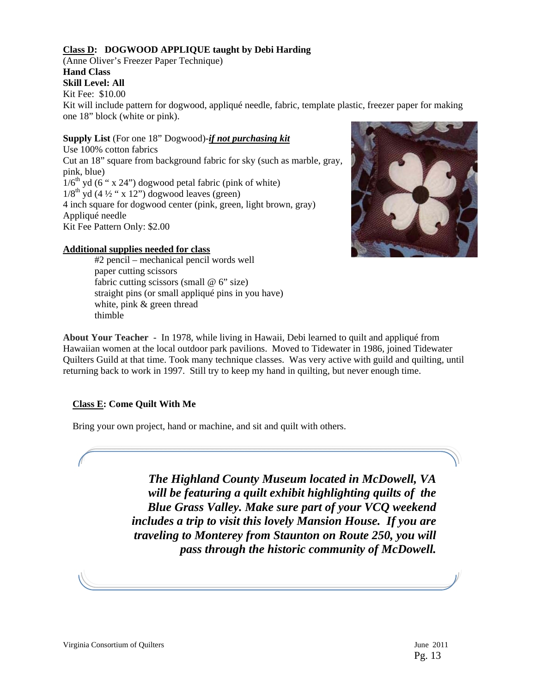#### **Class D: DOGWOOD APPLIQUE taught by Debi Harding**

(Anne Oliver's Freezer Paper Technique) **Hand Class Skill Level: All** Kit Fee: \$10.00

Kit will include pattern for dogwood, appliqué needle, fabric, template plastic, freezer paper for making one 18" block (white or pink).

**Supply List** (For one 18" Dogwood)-*if not purchasing kit* Use 100% cotton fabrics Cut an 18" square from background fabric for sky (such as marble, gray, pink, blue)  $1/6<sup>th</sup>$  yd (6 " x 24") dogwood petal fabric (pink of white)  $1/8^{\text{th}}$  yd (4  $\frac{1}{2}$  " x 12") dogwood leaves (green) 4 inch square for dogwood center (pink, green, light brown, gray) Appliqué needle Kit Fee Pattern Only: \$2.00

#### **Additional supplies needed for class**

#2 pencil – mechanical pencil words well paper cutting scissors fabric cutting scissors (small  $@ 6"$  size) straight pins (or small appliqué pins in you have) white, pink & green thread thimble



**About Your Teacher -** In 1978, while living in Hawaii, Debi learned to quilt and appliqué from Hawaiian women at the local outdoor park pavilions. Moved to Tidewater in 1986, joined Tidewater Quilters Guild at that time. Took many technique classes. Was very active with guild and quilting, until returning back to work in 1997. Still try to keep my hand in quilting, but never enough time.

#### **Class E: Come Quilt With Me**

Bring your own project, hand or machine, and sit and quilt with others.

*The Highland County Museum located in McDowell, VA will be featuring a quilt exhibit highlighting quilts of the Blue Grass Valley. Make sure part of your VCQ weekend includes a trip to visit this lovely Mansion House. If you are traveling to Monterey from Staunton on Route 250, you will pass through the historic community of McDowell.*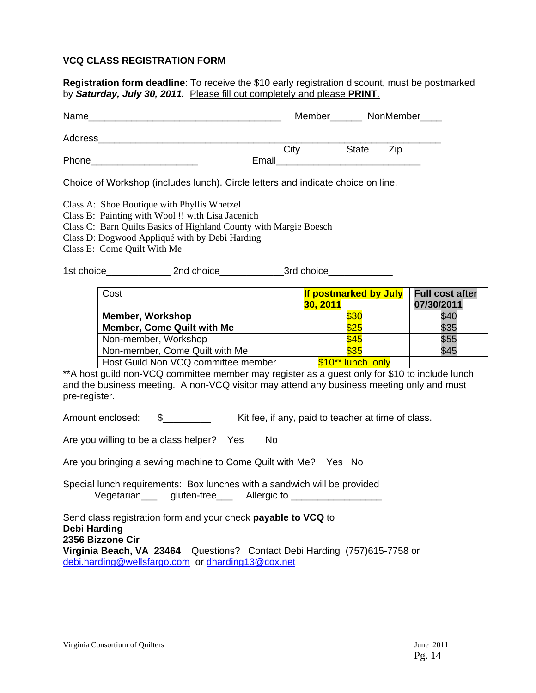#### **VCQ CLASS REGISTRATION FORM**

**Registration form deadline**: To receive the \$10 early registration discount, must be postmarked by *Saturday, July 30, 2011.* Please fill out completely and please **PRINT**.

| Name    |       | Member |              | NonMember____ |
|---------|-------|--------|--------------|---------------|
| Address |       |        |              |               |
|         |       | City   | <b>State</b> | Zip           |
| Phone   | Email |        |              |               |
|         |       |        |              | . .           |

Choice of Workshop (includes lunch). Circle letters and indicate choice on line.

- Class B: Painting with Wool !! with Lisa Jacenich
- Class C: Barn Quilts Basics of Highland County with Margie Boesch
- Class D: Dogwood Appliqué with by Debi Harding
- Class E: Come Quilt With Me

1st choice and 2nd choice and 2nd choice and 3rd choice and 3rd choice

| Cost                                | If postmarked by July | <b>Full cost after</b> |
|-------------------------------------|-----------------------|------------------------|
|                                     | <b>30, 2011</b>       | 07/30/2011             |
| <b>Member, Workshop</b>             | \$30                  | \$40                   |
| <b>Member, Come Quilt with Me</b>   | \$25                  | \$35                   |
| Non-member, Workshop                | \$45                  | \$55                   |
| Non-member, Come Quilt with Me      | \$35                  | \$45                   |
| Host Guild Non VCQ committee member | \$10** lunch only     |                        |

\*\*A host guild non-VCQ committee member may register as a guest only for \$10 to include lunch and the business meeting. A non-VCQ visitor may attend any business meeting only and must pre-register.

Amount enclosed:  $\quad \quad \text{\AA}$   $\quad \quad \text{with the following equation:}$  Kit fee, if any, paid to teacher at time of class.

Are you willing to be a class helper? Yes No

Are you bringing a sewing machine to Come Quilt with Me? Yes No

Special lunch requirements: Box lunches with a sandwich will be provided Vegetarian\_\_\_ gluten-free\_\_\_ Allergic to \_\_\_\_\_\_\_\_\_\_

Send class registration form and your check **payable to VCQ** to **Debi Harding 2356 Bizzone Cir Virginia Beach, VA 23464** Questions? Contact Debi Harding (757)615-7758 or debi.harding@wellsfargo.com or dharding13@cox.net

Class A: Shoe Boutique with Phyllis Whetzel